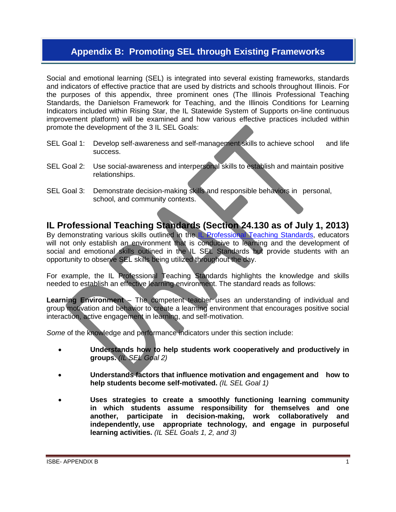## **Appendix B: Promoting SEL through Existing Frameworks**

Social and emotional learning (SEL) is integrated into several existing frameworks, standards and indicators of effective practice that are used by districts and schools throughout Illinois. For the purposes of this appendix, three prominent ones (The Illinois Professional Teaching Standards, the Danielson Framework for Teaching, and the Illinois Conditions for Learning Indicators included within Rising Star, the IL Statewide System of Supports on-line continuous improvement platform) will be examined and how various effective practices included within promote the development of the 3 IL SEL Goals:

- SEL Goal 1: Develop self-awareness and self-management skills to achieve school and life success.
- SEL Goal 2: Use social-awareness and interpersonal skills to establish and maintain positive relationships.
- SEL Goal 3: Demonstrate decision-making skills and responsible behaviors in personal, school, and community contexts.

**IL Professional Teaching Standards (Section 24.130 as of July 1, 2013)**  By demonstrating various skills outlined in the [IL Professional Teaching Standards,](http://www.isbe.net/rules/archive/pdfs/24ark.pdf) educators will not only establish an environment that is conducive to learning and the development of social and emotional skills outlined in the IL SEL Standards but provide students with an opportunity to observe SEL skills being utilized throughout the day.

For example, the IL Professional Teaching Standards highlights the knowledge and skills needed to establish an effective learning environment. The standard reads as follows:

**Learning Environment** – The competent teacher uses an understanding of individual and group motivation and behavior to create a learning environment that encourages positive social interaction, active engagement in learning, and self-motivation.

*Some* of the knowledge and performance indicators under this section include:

- **Understands how to help students work cooperatively and productively in groups.** *(IL SEL Goal 2)*
- **Understands factors that influence motivation and engagement and how to help students become self-motivated.** *(IL SEL Goal 1)*
- **Uses strategies to create a smoothly functioning learning community in which students assume responsibility for themselves and one another, participate in decision-making, work collaboratively and independently, use appropriate technology, and engage in purposeful learning activities.** *(IL SEL Goals 1, 2, and 3)*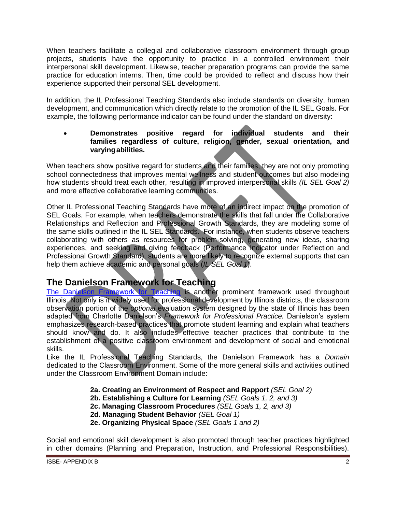When teachers facilitate a collegial and collaborative classroom environment through group projects, students have the opportunity to practice in a controlled environment their interpersonal skill development. Likewise, teacher preparation programs can provide the same practice for education interns. Then, time could be provided to reflect and discuss how their experience supported their personal SEL development.

In addition, the IL Professional Teaching Standards also include standards on diversity, human development, and communication which directly relate to the promotion of the IL SEL Goals. For example, the following performance indicator can be found under the standard on diversity:

### **Demonstrates positive regard for individual students and their families regardless of culture, religion, gender, sexual orientation, and varying abilities.**

When teachers show positive regard for students and their families, they are not only promoting school connectedness that improves mental wellness and student outcomes but also modeling how students should treat each other, resulting in improved interpersonal skills *(IL SEL Goal 2)* and more effective collaborative learning communities.

Other IL Professional Teaching Standards have more of an indirect impact on the promotion of SEL Goals. For example, when teachers demonstrate the skills that fall under the Collaborative Relationships and Reflection and Professional Growth Standards, they are modeling some of the same skills outlined in the IL SEL Standards. For instance, when students observe teachers collaborating with others as resources for problem-solving, generating new ideas, sharing experiences, and seeking and giving feedback (Performance Indicator under Reflection and Professional Growth Standard), students are more likely to recognize external supports that can help them achieve academic and personal goals (*IL SEL Goal 1*).

# **The Danielson Framework for Teaching**

[The Danielson Framework for Teaching](http://www.danielsongroup.org/) is another prominent framework used throughout Illinois. Not only is it widely used for professional development by Illinois districts, the classroom observation portion of the *optional* evaluation system designed by the state of Illinois has been adapted from Charlotte Danielson's *Framework for Professional Practice.* Danielson's system emphasizes research-based practices that promote student learning and explain what teachers should know and do. It also includes effective teacher practices that contribute to the establishment of a positive classroom environment and development of social and emotional skills.

Like the IL Professional Teaching Standards, the Danielson Framework has a *Domain*  dedicated to the Classroom Environment. Some of the more general skills and activities outlined under the Classroom Environment Domain include:

**2a. Creating an Environment of Respect and Rapport** *(SEL Goal 2)*

- **2b. Establishing a Culture for Learning** *(SEL Goals 1, 2, and 3)*
- **2c. Managing Classroom Procedures** *(SEL Goals 1, 2, and 3)*
- **2d. Managing Student Behavior** *(SEL Goal 1)*
- **2e. Organizing Physical Space** *(SEL Goals 1 and 2)*

Social and emotional skill development is also promoted through teacher practices highlighted in other domains (Planning and Preparation, Instruction, and Professional Responsibilities).